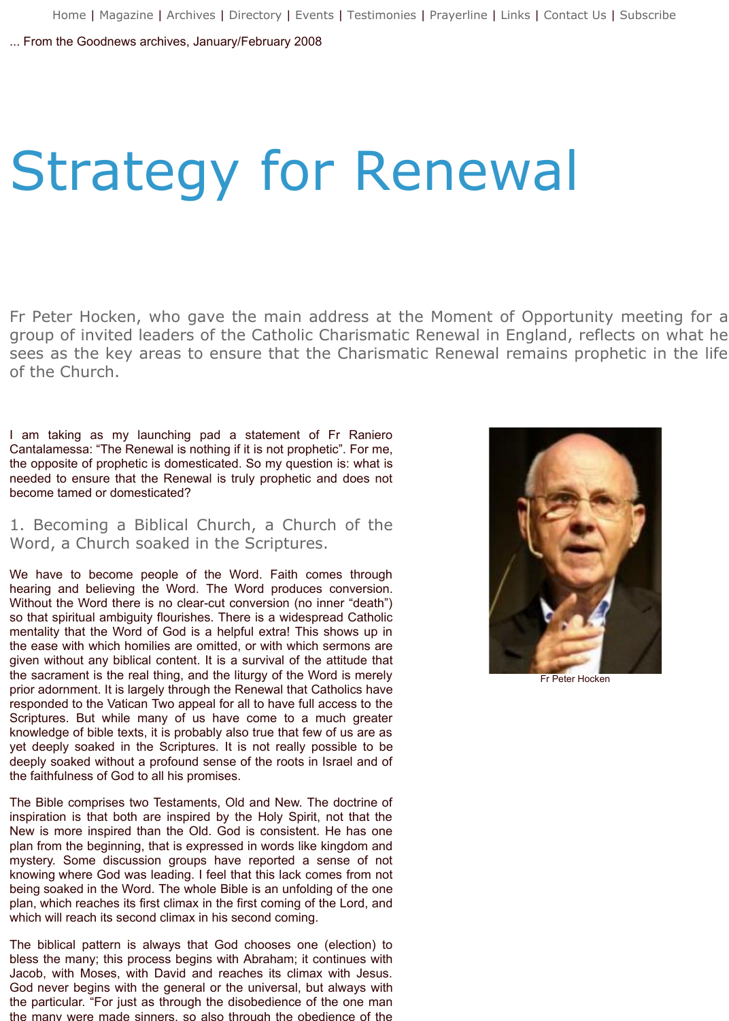Fr Peter Hocken, who gave the main address at the Moment of Opportuity group of invited leaders of the Catholic Charismatic Renewal in England, r sees as the key areas to ensure that the Charismatic Renewal remains pronoun of the Church.

I am taking as my launching pad a statement of Fr Raniero Cantalamessa: "The Renewal is nothing if it is not prophetic". For me, the opposite of prophetic is domesticated. So my question is: what is needed to ensure that the Renewal is truly prophetic and does not become tamed or domesticated?

1. Becoming a Biblical Church, a Church of the Word, a Church soaked in the Scriptures.

We have to become people of the Word. Faith comes through hearing and believing the Word. The Word produces conversion. Without the Word there is no clear-cut conversion (no inner "death") so that spiritual ambiguity flourishes. There is a widespread Catholic mentality that the Word of God is a helpful extra! This shows up in the ease with which homilies are omitted, or with which sermons are given without any biblical content. It is a survival of the attitude that the sacrament is the real thing, and the liturgy of the Word is merely prior adornment. It is largely through the Renewal that Catholics have responded to the Vatican Two appeal for all to have full access to the Scriptures. But while many of us have come to a much greater knowledge of bible texts, it is probably also true that few of us are as yet deeply soaked in the Scriptures. It is not really possible to be deeply soaked without a profound sense of the roots in Israel and of the faithfulness of God to all his promises.

The Bible comprises two Testaments, Old and New. The doctrine of inspiration is that both are inspired by the Holy Spirit, not that the New is more inspired than the Old. God is consistent. He has one plan from the beginning, that is expressed in words like kingdom and mystery. Some discussion groups have reported a sense of not knowing where God was leading. I feel that this lack comes from not being soaked in the Word. The whole Bible is an unfolding of the one plan, which reaches its first climax in the first coming of the Lord, and which will reach its second climax in his second coming.

The biblical pattern is always that God chooses one (election) to bless the many; this process begins with Abraham; it continues with Jacob, with Moses, with David and reaches its climax with Jesus. God never begins with the general or the universal, but always with the particular. "For just as through the disobedience of the one man the many were made sinners, so also through the obedience of the



 $Fr$  Peter Ho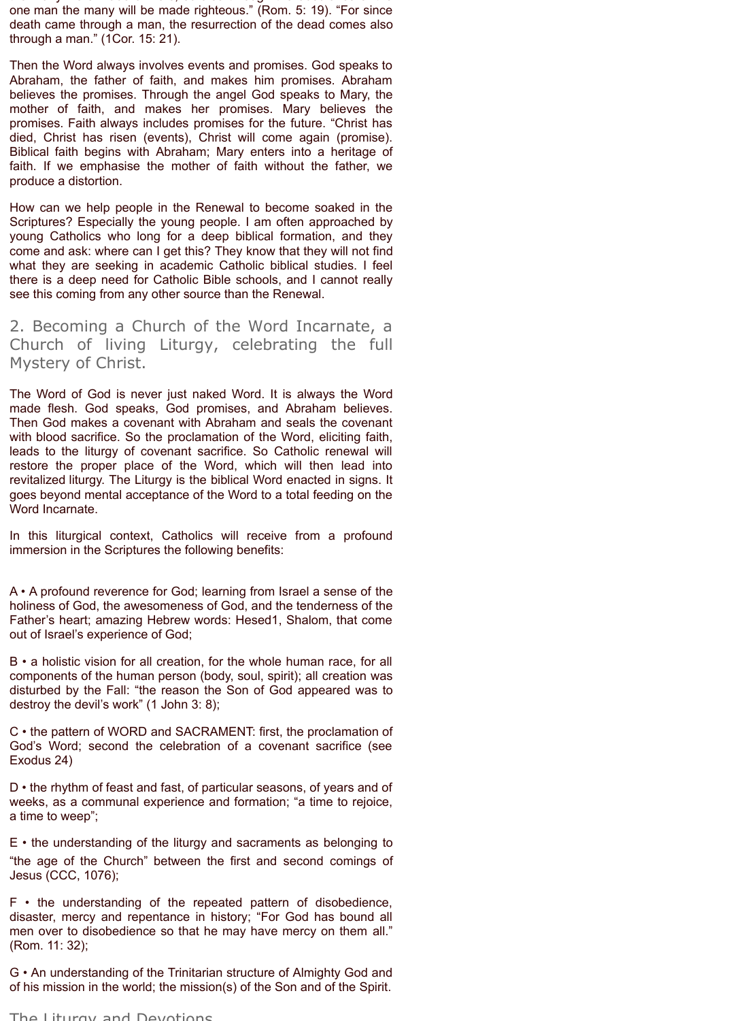the many were made sinners, so also through the obedience of the one man the many will be made righteous." (Rom. 5: 19). "For since death came through a man, the resurrection of the dead comes also through a man." (1Cor. 15: 21).

Then the Word always involves events and promises. God speaks to Abraham, the father of faith, and makes him promises. Abraham believes the promises. Through the angel God speaks to Mary, the mother of faith, and makes her promises. Mary believes the promises. Faith always includes promises for the future. "Christ has died, Christ has risen (events), Christ will come again (promise). Biblical faith begins with Abraham; Mary enters into a heritage of faith. If we emphasise the mother of faith without the father, we produce a distortion.

How can we help people in the Renewal to become soaked in the Scriptures? Especially the young people. I am often approached by young Catholics who long for a deep biblical formation, and they come and ask: where can I get this? They know that they will not find what they are seeking in academic Catholic biblical studies. I feel there is a deep need for Catholic Bible schools, and I cannot really see this coming from any other source than the Renewal.

2. Becoming a Church of the Word Incarnate, a Church of living Liturgy, celebrating the full Mystery of Christ.

The Word of God is never just naked Word. It is always the Word made flesh. God speaks, God promises, and Abraham believes. Then God makes a covenant with Abraham and seals the covenant with blood sacrifice. So the proclamation of the Word, eliciting faith, leads to the liturgy of covenant sacrifice. So Catholic renewal will restore the proper place of the Word, which will then lead into revitalized liturgy. The Liturgy is the biblical Word enacted in signs. It goes beyond mental acceptance of the Word to a total feeding on the Word Incarnate.

In this liturgical context, Catholics will receive from a profound immersion in the Scriptures the following benefits:

A • A profound reverence for God; learning from Israel a sense of the holiness of God, the awesomeness of God, and the tenderness of the Father's heart; amazing Hebrew words: Hesed1, Shalom, that come out of Israel's experience of God;

B • a holistic vision for all creation, for the whole human race, for all components of the human person (body, soul, spirit); all creation was disturbed by the Fall: "the reason the Son of God appeared was to destroy the devil's work" (1 John 3: 8);

C • the pattern of WORD and SACRAMENT: first, the proclamation of God's Word; second the celebration of a covenant sacrifice (see Exodus 24)

D • the rhythm of feast and fast, of particular seasons, of years and of weeks, as a communal experience and formation; "a time to rejoice, a time to weep";

E • the understanding of the liturgy and sacraments as belonging to "the age of the Church" between the first and second comings of Jesus (CCC, 1076);

F • the understanding of the repeated pattern of disobedience, disaster, mercy and repentance in history; "For God has bound all men over to disobedience so that he may have mercy on them all." (Rom. 11: 32);

G • An understanding of the Trinitarian structure of Almighty God and of his mission in the world; the mission(s) of the Son and of the Spirit.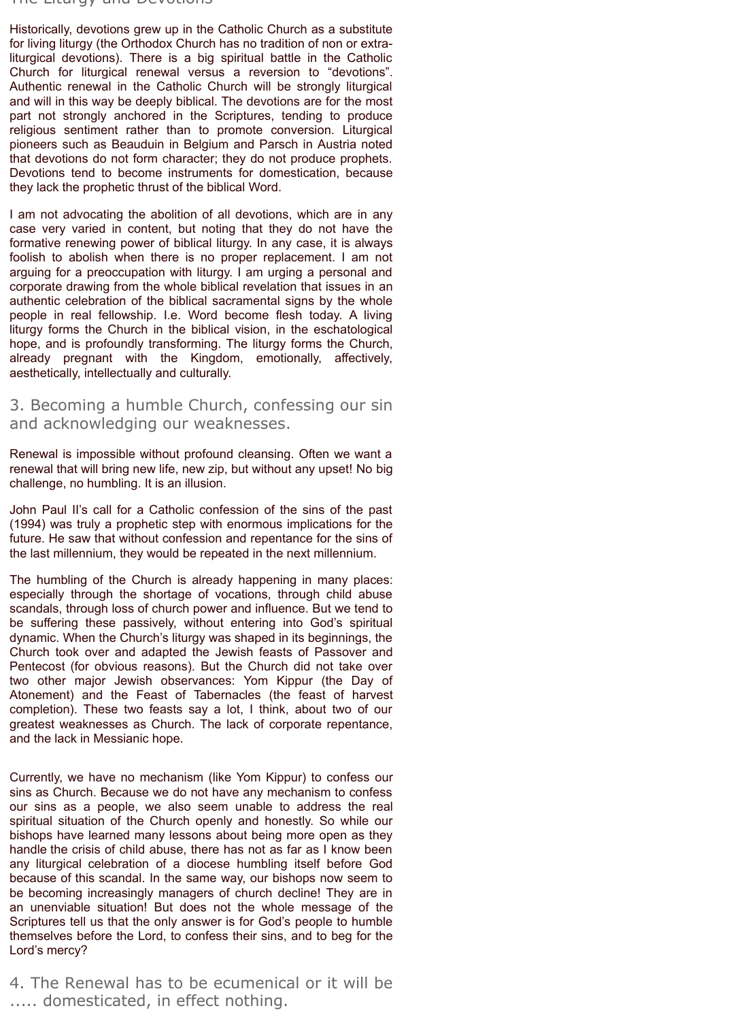## The Liturgy and Devotions

Historically, devotions grew up in the Catholic Church as a substitute for living liturgy (the Orthodox Church has no tradition of non or extraliturgical devotions). There is a big spiritual battle in the Catholic Church for liturgical renewal versus a reversion to "devotions". Authentic renewal in the Catholic Church will be strongly liturgical and will in this way be deeply biblical. The devotions are for the most part not strongly anchored in the Scriptures, tending to produce religious sentiment rather than to promote conversion. Liturgical pioneers such as Beauduin in Belgium and Parsch in Austria noted that devotions do not form character; they do not produce prophets. Devotions tend to become instruments for domestication, because they lack the prophetic thrust of the biblical Word.

I am not advocating the abolition of all devotions, which are in any case very varied in content, but noting that they do not have the formative renewing power of biblical liturgy. In any case, it is always foolish to abolish when there is no proper replacement. I am not arguing for a preoccupation with liturgy. I am urging a personal and corporate drawing from the whole biblical revelation that issues in an authentic celebration of the biblical sacramental signs by the whole people in real fellowship. I.e. Word become flesh today. A living liturgy forms the Church in the biblical vision, in the eschatological hope, and is profoundly transforming. The liturgy forms the Church, already pregnant with the Kingdom, emotionally, affectively, aesthetically, intellectually and culturally.

3. Becoming a humble Church, confessing our sin and acknowledging our weaknesses.

Renewal is impossible without profound cleansing. Often we want a renewal that will bring new life, new zip, but without any upset! No big challenge, no humbling. It is an illusion.

John Paul II's call for a Catholic confession of the sins of the past (1994) was truly a prophetic step with enormous implications for the future. He saw that without confession and repentance for the sins of the last millennium, they would be repeated in the next millennium.

The humbling of the Church is already happening in many places: especially through the shortage of vocations, through child abuse scandals, through loss of church power and influence. But we tend to be suffering these passively, without entering into God's spiritual dynamic. When the Church's liturgy was shaped in its beginnings, the Church took over and adapted the Jewish feasts of Passover and Pentecost (for obvious reasons). But the Church did not take over two other major Jewish observances: Yom Kippur (the Day of Atonement) and the Feast of Tabernacles (the feast of harvest completion). These two feasts say a lot, I think, about two of our greatest weaknesses as Church. The lack of corporate repentance, and the lack in Messianic hope.

Currently, we have no mechanism (like Yom Kippur) to confess our sins as Church. Because we do not have any mechanism to confess our sins as a people, we also seem unable to address the real spiritual situation of the Church openly and honestly. So while our bishops have learned many lessons about being more open as they handle the crisis of child abuse, there has not as far as I know been any liturgical celebration of a diocese humbling itself before God because of this scandal. In the same way, our bishops now seem to be becoming increasingly managers of church decline! They are in an unenviable situation! But does not the whole message of the Scriptures tell us that the only answer is for God's people to humble themselves before the Lord, to confess their sins, and to beg for the Lord's mercy?

4. The Renewal has to be ecumenical or it will be ..... domesticated, in effect nothing.